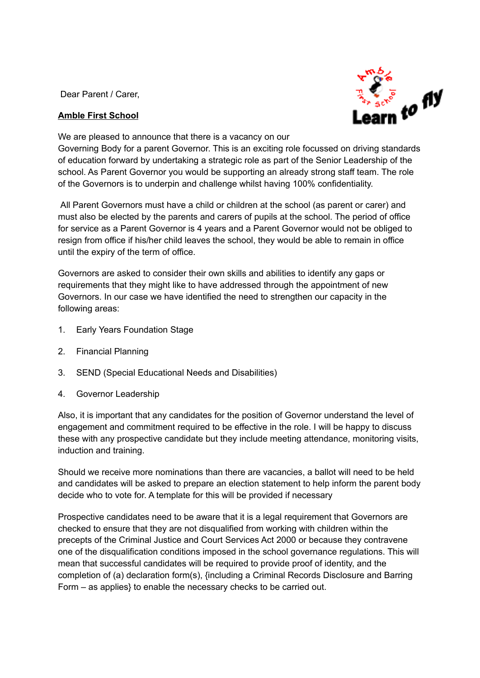Dear Parent / Carer,

## **Amble First School**



We are pleased to announce that there is a vacancy on our

Governing Body for a parent Governor. This is an exciting role focussed on driving standards of education forward by undertaking a strategic role as part of the Senior Leadership of the school. As Parent Governor you would be supporting an already strong staff team. The role of the Governors is to underpin and challenge whilst having 100% confidentiality.

All Parent Governors must have a child or children at the school (as parent or carer) and must also be elected by the parents and carers of pupils at the school. The period of office for service as a Parent Governor is 4 years and a Parent Governor would not be obliged to resign from office if his/her child leaves the school, they would be able to remain in office until the expiry of the term of office.

Governors are asked to consider their own skills and abilities to identify any gaps or requirements that they might like to have addressed through the appointment of new Governors. In our case we have identified the need to strengthen our capacity in the following areas:

- 1. Early Years Foundation Stage
- 2. Financial Planning
- 3. SEND (Special Educational Needs and Disabilities)
- 4. Governor Leadership

Also, it is important that any candidates for the position of Governor understand the level of engagement and commitment required to be effective in the role. I will be happy to discuss these with any prospective candidate but they include meeting attendance, monitoring visits, induction and training.

Should we receive more nominations than there are vacancies, a ballot will need to be held and candidates will be asked to prepare an election statement to help inform the parent body decide who to vote for. A template for this will be provided if necessary

Prospective candidates need to be aware that it is a legal requirement that Governors are checked to ensure that they are not disqualified from working with children within the precepts of the Criminal Justice and Court Services Act 2000 or because they contravene one of the disqualification conditions imposed in the school governance regulations. This will mean that successful candidates will be required to provide proof of identity, and the completion of (a) declaration form(s), {including a Criminal Records Disclosure and Barring Form – as applies} to enable the necessary checks to be carried out.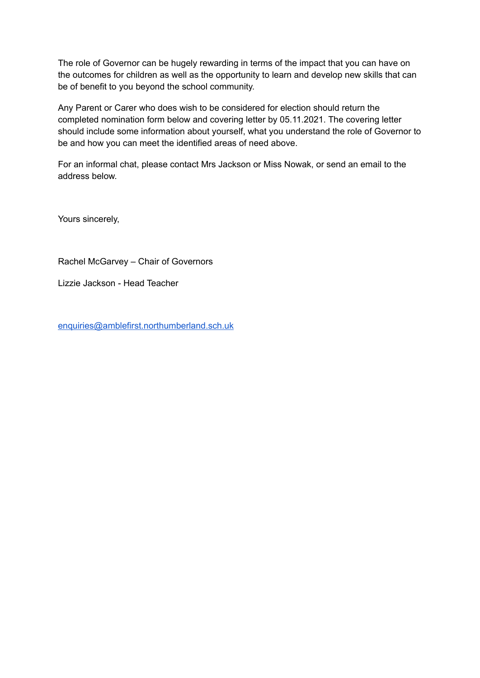The role of Governor can be hugely rewarding in terms of the impact that you can have on the outcomes for children as well as the opportunity to learn and develop new skills that can be of benefit to you beyond the school community.

Any Parent or Carer who does wish to be considered for election should return the completed nomination form below and covering letter by 05.11.2021. The covering letter should include some information about yourself, what you understand the role of Governor to be and how you can meet the identified areas of need above.

For an informal chat, please contact Mrs Jackson or Miss Nowak, or send an email to the address below.

Yours sincerely,

Rachel McGarvey – Chair of Governors

Lizzie Jackson - Head Teacher

[enquiries@amblefirst.northumberland.sch.uk](mailto:enquiries@amblefirst.northumberland.sch.uk)